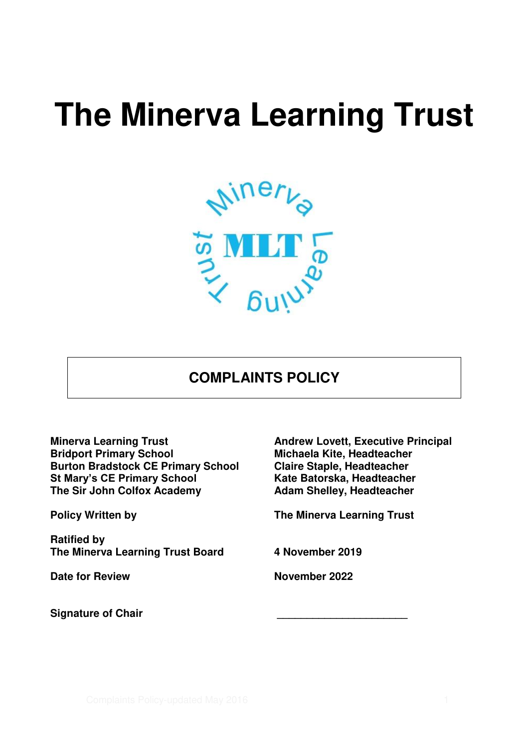# **The Minerva Learning Trust**



# **COMPLAINTS POLICY**

**Burton Bradstock CE Primary School Claire Staple, Headteacher<br>
St Mary's CE Primary School Kate Batorska, Headteacher St Mary's CE Primary School The Sir John Colfox Academy Adam Shelley, Headteacher** 

**Ratified by The Minerva Learning Trust Board 4 November 2019** 

**Minerva Learning Trust Andrew Lovett, Executive Principal<br>
Bridport Primary School Michaela Kite, Headteacher Michaela Kite, Headteacher<br>Claire Staple, Headteacher** 

**Policy Written by Community Community Provident Policy Written by Community Community Providence Community Provident Providence Community Providence Community Provident Providence Community Providence Community Providence** 

**Date for Review Community Community Property Review Review Review November 2022** 

**Signature of Chair \_\_\_\_\_\_\_\_\_\_\_\_\_\_\_\_\_\_\_\_\_\_**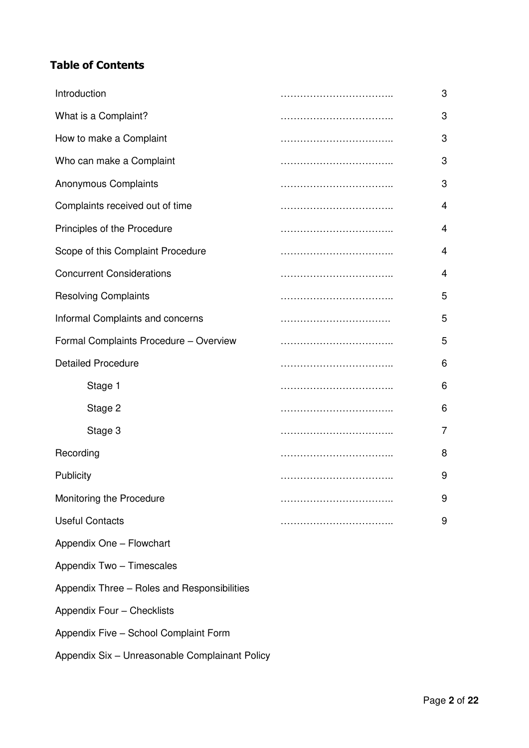# **Table of Contents**

| Introduction                                | 3 |
|---------------------------------------------|---|
| What is a Complaint?                        | 3 |
| How to make a Complaint                     | 3 |
| Who can make a Complaint                    | 3 |
| <b>Anonymous Complaints</b>                 | 3 |
| Complaints received out of time             | 4 |
| Principles of the Procedure                 | 4 |
| Scope of this Complaint Procedure           | 4 |
| <b>Concurrent Considerations</b>            | 4 |
| <b>Resolving Complaints</b>                 | 5 |
| Informal Complaints and concerns            | 5 |
| Formal Complaints Procedure - Overview      | 5 |
| <b>Detailed Procedure</b>                   | 6 |
| Stage 1                                     | 6 |
| Stage 2                                     | 6 |
| Stage 3                                     | 7 |
| Recording                                   | 8 |
| Publicity                                   | 9 |
| Monitoring the Procedure                    | 9 |
| <b>Useful Contacts</b>                      | 9 |
| Appendix One - Flowchart                    |   |
| Appendix Two - Timescales                   |   |
| Appendix Three - Roles and Responsibilities |   |
| Appendix Four - Checklists                  |   |
| Appendix Five - School Complaint Form       |   |

Appendix Six – Unreasonable Complainant Policy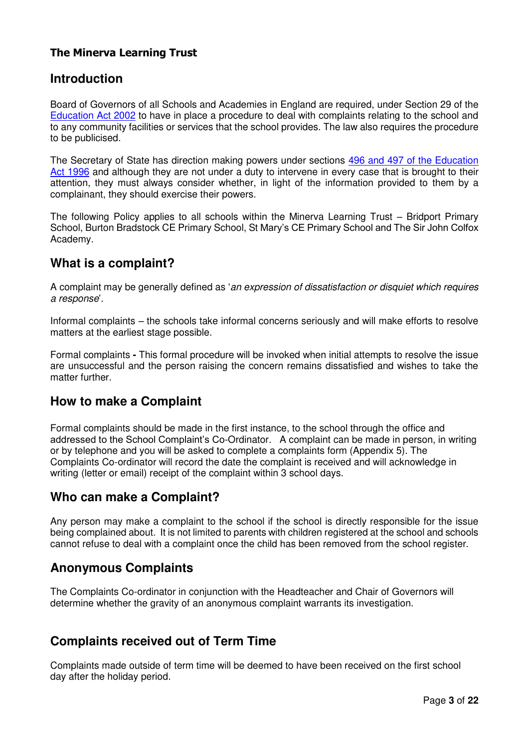### **The Minerva Learning Trust**

### **Introduction**

Board of Governors of all Schools and Academies in England are required, under Section 29 of the [Education Act 2002](http://www.legislation.gov.uk/ukpga/2002/32/contents) to have in place a procedure to deal with complaints relating to the school and to any community facilities or services that the school provides. The law also requires the procedure to be publicised.

The Secretary of State has direction making powers under sections [496 and 497 of the Education](http://www.google.co.uk/search?hl=en&q=496+or+497+of+the+Education+Act+1996+&meta=)  [Act 1996](http://www.google.co.uk/search?hl=en&q=496+or+497+of+the+Education+Act+1996+&meta=) and although they are not under a duty to intervene in every case that is brought to their attention, they must always consider whether, in light of the information provided to them by a complainant, they should exercise their powers.

The following Policy applies to all schools within the Minerva Learning Trust – Bridport Primary School, Burton Bradstock CE Primary School, St Mary's CE Primary School and The Sir John Colfox Academy.

### **What is a complaint?**

A complaint may be generally defined as 'an expression of dissatisfaction or disquiet which requires a response'.

Informal complaints – the schools take informal concerns seriously and will make efforts to resolve matters at the earliest stage possible.

Formal complaints **-** This formal procedure will be invoked when initial attempts to resolve the issue are unsuccessful and the person raising the concern remains dissatisfied and wishes to take the matter further.

# **How to make a Complaint**

Formal complaints should be made in the first instance, to the school through the office and addressed to the School Complaint's Co-Ordinator.A complaint can be made in person, in writing or by telephone and you will be asked to complete a complaints form (Appendix 5). The Complaints Co-ordinator will record the date the complaint is received and will acknowledge in writing (letter or email) receipt of the complaint within 3 school days.

### **Who can make a Complaint?**

Any person may make a complaint to the school if the school is directly responsible for the issue being complained about. It is not limited to parents with children registered at the school and schools cannot refuse to deal with a complaint once the child has been removed from the school register.

# **Anonymous Complaints**

The Complaints Co-ordinator in conjunction with the Headteacher and Chair of Governors will determine whether the gravity of an anonymous complaint warrants its investigation.

# **Complaints received out of Term Time**

Complaints made outside of term time will be deemed to have been received on the first school day after the holiday period.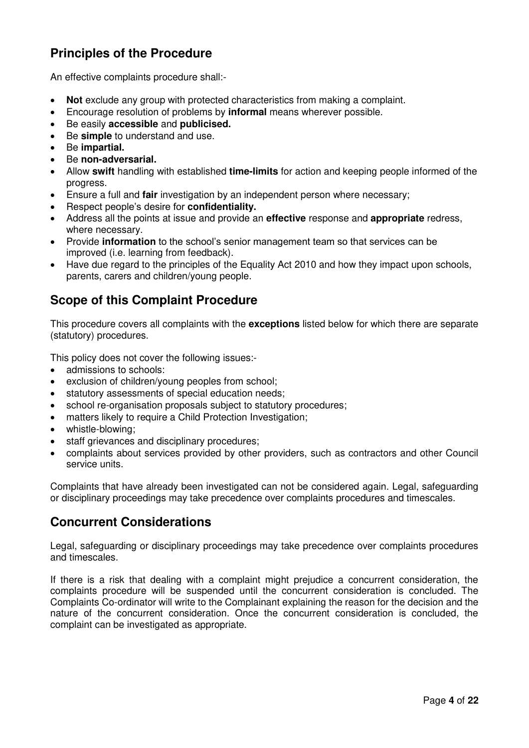# **Principles of the Procedure**

An effective complaints procedure shall:-

- **Not** exclude any group with protected characteristics from making a complaint.
- Encourage resolution of problems by **informal** means wherever possible.
- Be easily **accessible** and **publicised.**
- Be **simple** to understand and use.
- Be **impartial.**
- Be **non-adversarial.**
- Allow **swift** handling with established **time-limits** for action and keeping people informed of the progress.
- Ensure a full and **fair** investigation by an independent person where necessary;
- Respect people's desire for **confidentiality.**
- Address all the points at issue and provide an **effective** response and **appropriate** redress, where necessary.
- Provide **information** to the school's senior management team so that services can be improved (i.e. learning from feedback).
- Have due regard to the principles of the Equality Act 2010 and how they impact upon schools, parents, carers and children/young people.

# **Scope of this Complaint Procedure**

This procedure covers all complaints with the **exceptions** listed below for which there are separate (statutory) procedures.

This policy does not cover the following issues:-

- admissions to schools:
- exclusion of children/young peoples from school;
- statutory assessments of special education needs;
- school re-organisation proposals subject to statutory procedures;
- matters likely to require a Child Protection Investigation;
- whistle-blowing;
- staff grievances and disciplinary procedures;
- complaints about services provided by other providers, such as contractors and other Council service units.

Complaints that have already been investigated can not be considered again. Legal, safeguarding or disciplinary proceedings may take precedence over complaints procedures and timescales.

# **Concurrent Considerations**

Legal, safeguarding or disciplinary proceedings may take precedence over complaints procedures and timescales.

If there is a risk that dealing with a complaint might prejudice a concurrent consideration, the complaints procedure will be suspended until the concurrent consideration is concluded. The Complaints Co-ordinator will write to the Complainant explaining the reason for the decision and the nature of the concurrent consideration. Once the concurrent consideration is concluded, the complaint can be investigated as appropriate.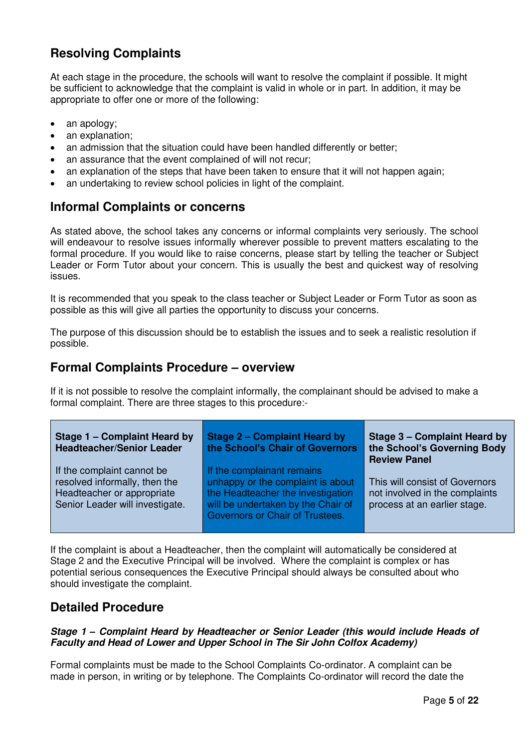# **Resolving Complaints**

At each stage in the procedure, the schools will want to resolve the complaint if possible. It might be sufficient to acknowledge that the complaint is valid in whole or in part. In addition, it may be appropriate to offer one or more of the following:

- an apology;
- an explanation;
- an admission that the situation could have been handled differently or better;
- an assurance that the event complained of will not recur;
- an explanation of the steps that have been taken to ensure that it will not happen again;
- an undertaking to review school policies in light of the complaint.

# **Informal Complaints or concerns**

As stated above, the school takes any concerns or informal complaints very seriously. The school will endeavour to resolve issues informally wherever possible to prevent matters escalating to the formal procedure. If you would like to raise concerns, please start by telling the teacher or Subject Leader or Form Tutor about your concern. This is usually the best and quickest way of resolving issues.

It is recommended that you speak to the class teacher or Subject Leader or Form Tutor as soon as possible as this will give all parties the opportunity to discuss your concerns.

The purpose of this discussion should be to establish the issues and to seek a realistic resolution if possible.

### **Formal Complaints Procedure – overview**

If it is not possible to resolve the complaint informally, the complainant should be advised to make a formal complaint. There are three stages to this procedure:-

| Stage 1 – Complaint Heard by<br><b>Headteacher/Senior Leader</b>                                                             | Stage 2 - Complaint Heard by<br>the School's Chair of Governors                                                                                                               | Stage 3 – Complaint Heard by<br>the School's Governing Body<br><b>Review Panel</b>               |
|------------------------------------------------------------------------------------------------------------------------------|-------------------------------------------------------------------------------------------------------------------------------------------------------------------------------|--------------------------------------------------------------------------------------------------|
| If the complaint cannot be<br>resolved informally, then the<br>Headteacher or appropriate<br>Senior Leader will investigate. | If the complainant remains<br>unhappy or the complaint is about<br>the Headteacher the investigation<br>will be undertaken by the Chair of<br>Governors or Chair of Trustees. | This will consist of Governors<br>not involved in the complaints<br>process at an earlier stage. |

If the complaint is about a Headteacher, then the complaint will automatically be considered at Stage 2 and the Executive Principal will be involved. Where the complaint is complex or has potential serious consequences the Executive Principal should always be consulted about who should investigate the complaint.

### **Detailed Procedure**

### *Stage 1 – Complaint Heard by Headteacher or Senior Leader (this would include Heads of Faculty and Head of Lower and Upper School in The Sir John Colfox Academy)*

Formal complaints must be made to the School Complaints Co-ordinator. A complaint can be made in person, in writing or by telephone. The Complaints Co-ordinator will record the date the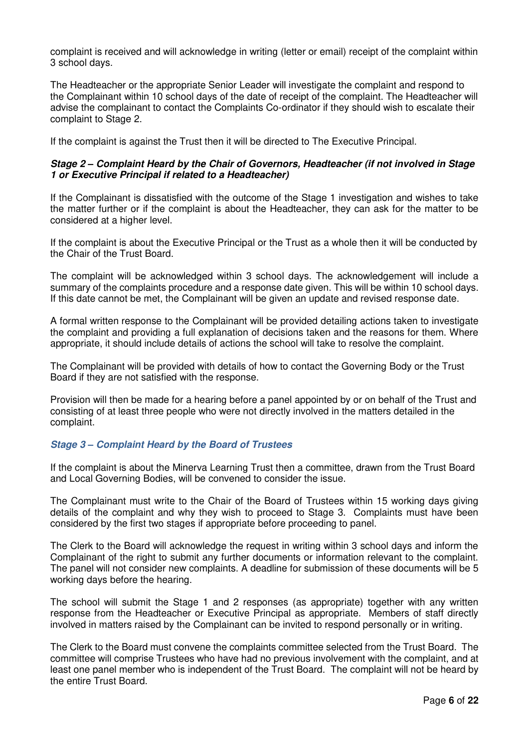complaint is received and will acknowledge in writing (letter or email) receipt of the complaint within 3 school days.

The Headteacher or the appropriate Senior Leader will investigate the complaint and respond to the Complainant within 10 school days of the date of receipt of the complaint. The Headteacher will advise the complainant to contact the Complaints Co-ordinator if they should wish to escalate their complaint to Stage 2.

If the complaint is against the Trust then it will be directed to The Executive Principal.

### *Stage 2 – Complaint Heard by the Chair of Governors, Headteacher (if not involved in Stage 1 or Executive Principal if related to a Headteacher)*

If the Complainant is dissatisfied with the outcome of the Stage 1 investigation and wishes to take the matter further or if the complaint is about the Headteacher, they can ask for the matter to be considered at a higher level.

If the complaint is about the Executive Principal or the Trust as a whole then it will be conducted by the Chair of the Trust Board.

The complaint will be acknowledged within 3 school days. The acknowledgement will include a summary of the complaints procedure and a response date given. This will be within 10 school days. If this date cannot be met, the Complainant will be given an update and revised response date.

A formal written response to the Complainant will be provided detailing actions taken to investigate the complaint and providing a full explanation of decisions taken and the reasons for them. Where appropriate, it should include details of actions the school will take to resolve the complaint.

The Complainant will be provided with details of how to contact the Governing Body or the Trust Board if they are not satisfied with the response.

Provision will then be made for a hearing before a panel appointed by or on behalf of the Trust and consisting of at least three people who were not directly involved in the matters detailed in the complaint.

### *Stage 3 – Complaint Heard by the Board of Trustees*

If the complaint is about the Minerva Learning Trust then a committee, drawn from the Trust Board and Local Governing Bodies, will be convened to consider the issue.

The Complainant must write to the Chair of the Board of Trustees within 15 working days giving details of the complaint and why they wish to proceed to Stage 3. Complaints must have been considered by the first two stages if appropriate before proceeding to panel.

The Clerk to the Board will acknowledge the request in writing within 3 school days and inform the Complainant of the right to submit any further documents or information relevant to the complaint. The panel will not consider new complaints. A deadline for submission of these documents will be 5 working days before the hearing.

The school will submit the Stage 1 and 2 responses (as appropriate) together with any written response from the Headteacher or Executive Principal as appropriate. Members of staff directly involved in matters raised by the Complainant can be invited to respond personally or in writing.

The Clerk to the Board must convene the complaints committee selected from the Trust Board. The committee will comprise Trustees who have had no previous involvement with the complaint, and at least one panel member who is independent of the Trust Board. The complaint will not be heard by the entire Trust Board.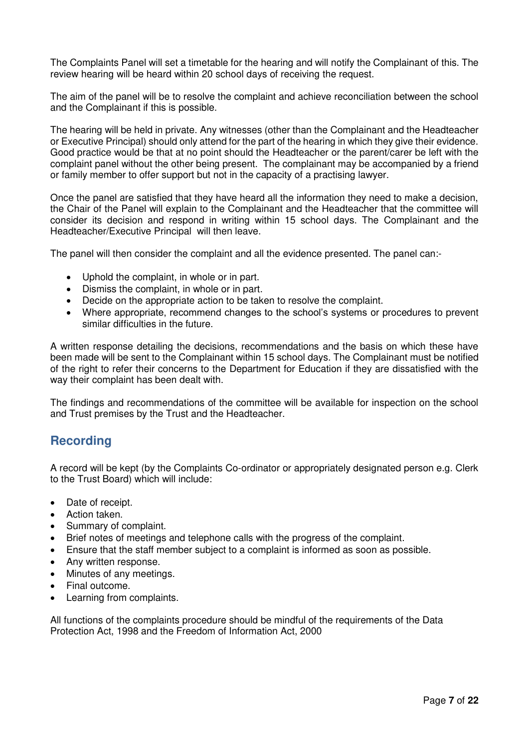The Complaints Panel will set a timetable for the hearing and will notify the Complainant of this. The review hearing will be heard within 20 school days of receiving the request.

The aim of the panel will be to resolve the complaint and achieve reconciliation between the school and the Complainant if this is possible.

The hearing will be held in private. Any witnesses (other than the Complainant and the Headteacher or Executive Principal) should only attend for the part of the hearing in which they give their evidence. Good practice would be that at no point should the Headteacher or the parent/carer be left with the complaint panel without the other being present. The complainant may be accompanied by a friend or family member to offer support but not in the capacity of a practising lawyer.

Once the panel are satisfied that they have heard all the information they need to make a decision, the Chair of the Panel will explain to the Complainant and the Headteacher that the committee will consider its decision and respond in writing within 15 school days. The Complainant and the Headteacher/Executive Principal will then leave.

The panel will then consider the complaint and all the evidence presented. The panel can:-

- Uphold the complaint, in whole or in part.
- Dismiss the complaint, in whole or in part.
- Decide on the appropriate action to be taken to resolve the complaint.
- Where appropriate, recommend changes to the school's systems or procedures to prevent similar difficulties in the future.

A written response detailing the decisions, recommendations and the basis on which these have been made will be sent to the Complainant within 15 school days. The Complainant must be notified of the right to refer their concerns to the Department for Education if they are dissatisfied with the way their complaint has been dealt with.

The findings and recommendations of the committee will be available for inspection on the school and Trust premises by the Trust and the Headteacher.

# **Recording**

A record will be kept (by the Complaints Co-ordinator or appropriately designated person e.g. Clerk to the Trust Board) which will include:

- Date of receipt.
- Action taken.
- Summary of complaint.
- Brief notes of meetings and telephone calls with the progress of the complaint.
- Ensure that the staff member subject to a complaint is informed as soon as possible.
- Any written response.
- Minutes of any meetings.
- Final outcome.
- Learning from complaints.

All functions of the complaints procedure should be mindful of the requirements of the Data Protection Act, 1998 and the Freedom of Information Act, 2000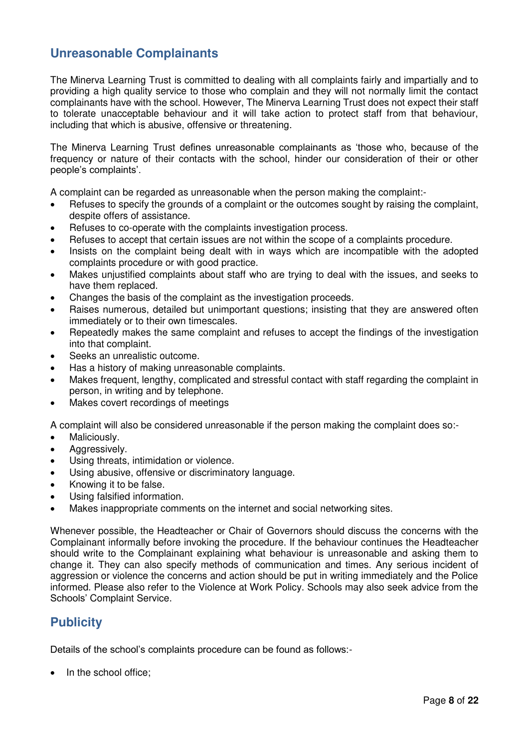# **Unreasonable Complainants**

The Minerva Learning Trust is committed to dealing with all complaints fairly and impartially and to providing a high quality service to those who complain and they will not normally limit the contact complainants have with the school. However, The Minerva Learning Trust does not expect their staff to tolerate unacceptable behaviour and it will take action to protect staff from that behaviour, including that which is abusive, offensive or threatening.

The Minerva Learning Trust defines unreasonable complainants as 'those who, because of the frequency or nature of their contacts with the school, hinder our consideration of their or other people's complaints'.

A complaint can be regarded as unreasonable when the person making the complaint:-

- Refuses to specify the grounds of a complaint or the outcomes sought by raising the complaint, despite offers of assistance.
- Refuses to co-operate with the complaints investigation process.
- Refuses to accept that certain issues are not within the scope of a complaints procedure.
- Insists on the complaint being dealt with in ways which are incompatible with the adopted complaints procedure or with good practice.
- Makes unjustified complaints about staff who are trying to deal with the issues, and seeks to have them replaced.
- Changes the basis of the complaint as the investigation proceeds.
- Raises numerous, detailed but unimportant questions; insisting that they are answered often immediately or to their own timescales.
- Repeatedly makes the same complaint and refuses to accept the findings of the investigation into that complaint.
- Seeks an unrealistic outcome.
- Has a history of making unreasonable complaints.
- Makes frequent, lengthy, complicated and stressful contact with staff regarding the complaint in person, in writing and by telephone.
- Makes covert recordings of meetings

A complaint will also be considered unreasonable if the person making the complaint does so:-

- Maliciously.
- Aggressively.
- Using threats, intimidation or violence.
- Using abusive, offensive or discriminatory language.
- Knowing it to be false.
- Using falsified information.
- Makes inappropriate comments on the internet and social networking sites.

Whenever possible, the Headteacher or Chair of Governors should discuss the concerns with the Complainant informally before invoking the procedure. If the behaviour continues the Headteacher should write to the Complainant explaining what behaviour is unreasonable and asking them to change it. They can also specify methods of communication and times. Any serious incident of aggression or violence the concerns and action should be put in writing immediately and the Police informed. Please also refer to the Violence at Work Policy. Schools may also seek advice from the Schools' Complaint Service.

# **Publicity**

Details of the school's complaints procedure can be found as follows:-

• In the school office;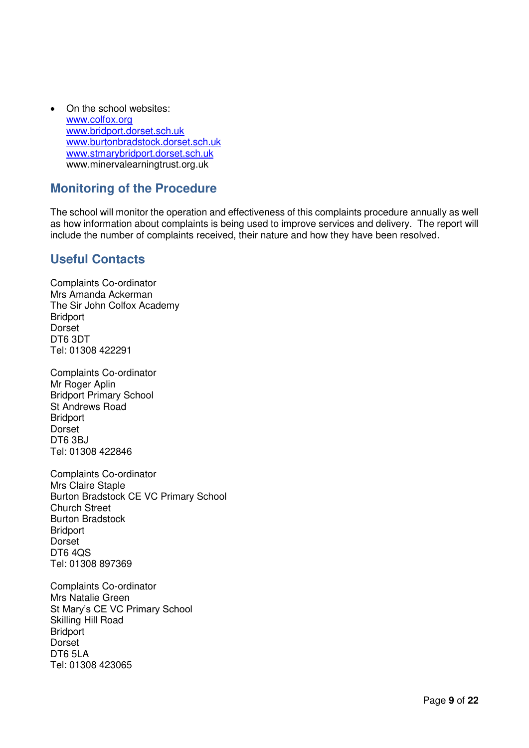• On the school websites: [www.colfox.org](http://www.colfox.org/) [www.bridport.dorset.sch.uk](http://www.bridport.dorset.sch.uk/) [www.burtonbradstock.dorset.sch.uk](http://www.burtonbradstock.dorset.sch.uk/) [www.stmarybridport.dorset.sch.uk](http://www.stmarybridport.dorset.sch.uk/) www.minervalearningtrust.org.uk

### **Monitoring of the Procedure**

The school will monitor the operation and effectiveness of this complaints procedure annually as well as how information about complaints is being used to improve services and delivery. The report will include the number of complaints received, their nature and how they have been resolved.

# **Useful Contacts**

Complaints Co-ordinator Mrs Amanda Ackerman The Sir John Colfox Academy **Bridport Dorset** DT6 3DT Tel: 01308 422291

Complaints Co-ordinator Mr Roger Aplin Bridport Primary School St Andrews Road Bridport Dorset DT6 3BJ Tel: 01308 422846

Complaints Co-ordinator Mrs Claire Staple Burton Bradstock CE VC Primary School Church Street Burton Bradstock **Bridport** Dorset DT6 4QS Tel: 01308 897369

Complaints Co-ordinator Mrs Natalie Green St Mary's CE VC Primary School Skilling Hill Road **Bridport Dorset** DT6 5LA Tel: 01308 423065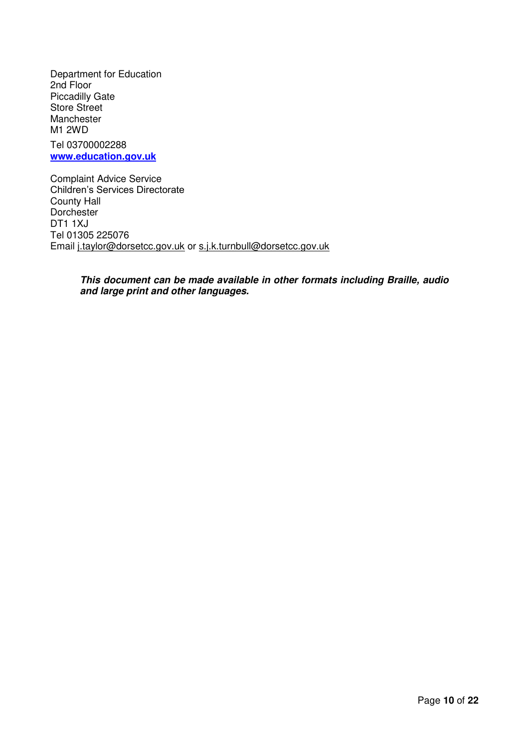Department for Education 2nd Floor Piccadilly Gate Store Street Manchester M1 2WD Tel 03700002288 **[www.education.gov.uk](http://www.education.gov.uk/)**

Complaint Advice Service Children's Services Directorate County Hall **Dorchester** DT1 1XJ Tel 01305 225076 Email [j.taylor@dorsetcc.gov.uk](mailto:j.taylor@dorsetcc.gov.uk) or [s.j.k.turnbull@dorsetcc.gov.uk](mailto:s.j.k.turnbull@dorsetcc.gov.uk) 

> *This document can be made available in other formats including Braille, audio and large print and other languages.*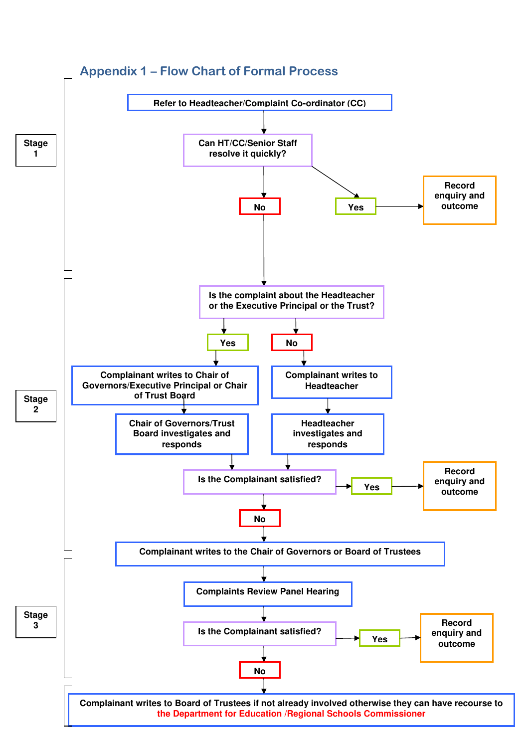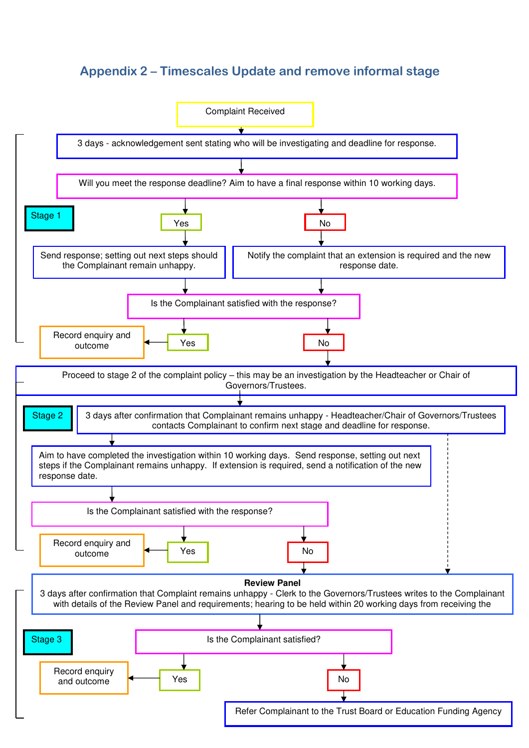# **Appendix 2 – Timescales Update and remove informal stage**

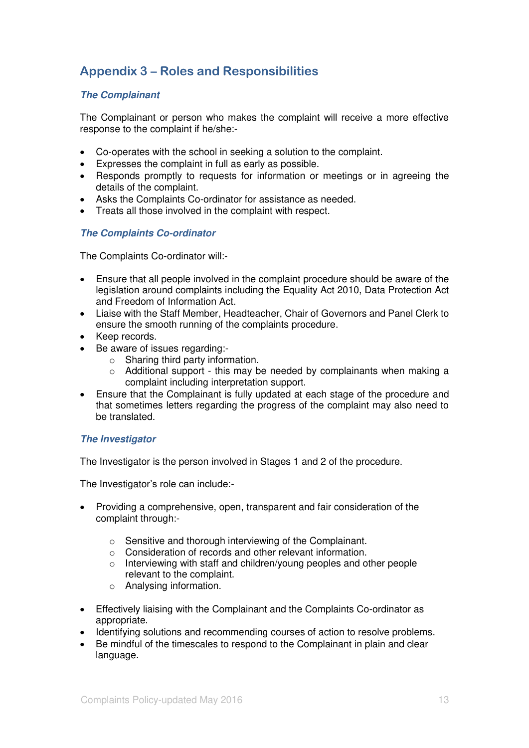# **Appendix 3 – Roles and Responsibilities**

### *The Complainant*

The Complainant or person who makes the complaint will receive a more effective response to the complaint if he/she:-

- Co-operates with the school in seeking a solution to the complaint.
- Expresses the complaint in full as early as possible.
- Responds promptly to requests for information or meetings or in agreeing the details of the complaint.
- Asks the Complaints Co-ordinator for assistance as needed.
- Treats all those involved in the complaint with respect.

#### *The Complaints Co-ordinator*

The Complaints Co-ordinator will:-

- Ensure that all people involved in the complaint procedure should be aware of the legislation around complaints including the Equality Act 2010, Data Protection Act and Freedom of Information Act.
- Liaise with the Staff Member, Headteacher, Chair of Governors and Panel Clerk to ensure the smooth running of the complaints procedure.
- Keep records.
- Be aware of issues regarding:
	- o Sharing third party information.
	- $\circ$  Additional support this may be needed by complainants when making a complaint including interpretation support.
- Ensure that the Complainant is fully updated at each stage of the procedure and that sometimes letters regarding the progress of the complaint may also need to be translated.

### *The Investigator*

The Investigator is the person involved in Stages 1 and 2 of the procedure.

The Investigator's role can include:-

- Providing a comprehensive, open, transparent and fair consideration of the complaint through:
	- o Sensitive and thorough interviewing of the Complainant.
	- o Consideration of records and other relevant information.
	- o Interviewing with staff and children/young peoples and other people relevant to the complaint.
	- o Analysing information.
- Effectively liaising with the Complainant and the Complaints Co-ordinator as appropriate.
- Identifying solutions and recommending courses of action to resolve problems.
- Be mindful of the timescales to respond to the Complainant in plain and clear language.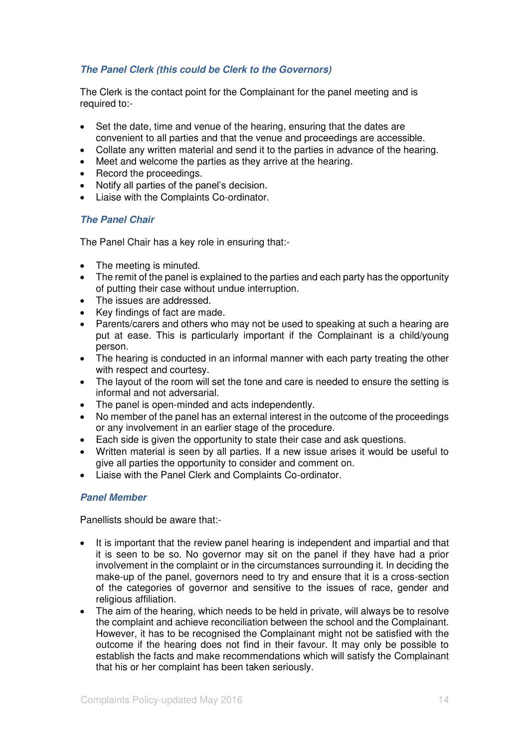### *The Panel Clerk (this could be Clerk to the Governors)*

The Clerk is the contact point for the Complainant for the panel meeting and is required to:-

- Set the date, time and venue of the hearing, ensuring that the dates are convenient to all parties and that the venue and proceedings are accessible.
- Collate any written material and send it to the parties in advance of the hearing.
- Meet and welcome the parties as they arrive at the hearing.
- Record the proceedings.
- Notify all parties of the panel's decision.
- Liaise with the Complaints Co-ordinator.

### *The Panel Chair*

The Panel Chair has a key role in ensuring that:-

- The meeting is minuted.
- The remit of the panel is explained to the parties and each party has the opportunity of putting their case without undue interruption.
- The issues are addressed.
- Key findings of fact are made.
- Parents/carers and others who may not be used to speaking at such a hearing are put at ease. This is particularly important if the Complainant is a child/young person.
- The hearing is conducted in an informal manner with each party treating the other with respect and courtesy.
- The layout of the room will set the tone and care is needed to ensure the setting is informal and not adversarial.
- The panel is open-minded and acts independently.
- No member of the panel has an external interest in the outcome of the proceedings or any involvement in an earlier stage of the procedure.
- Each side is given the opportunity to state their case and ask questions.
- Written material is seen by all parties. If a new issue arises it would be useful to give all parties the opportunity to consider and comment on.
- Liaise with the Panel Clerk and Complaints Co-ordinator.

### *Panel Member*

Panellists should be aware that:-

- It is important that the review panel hearing is independent and impartial and that it is seen to be so. No governor may sit on the panel if they have had a prior involvement in the complaint or in the circumstances surrounding it. In deciding the make-up of the panel, governors need to try and ensure that it is a cross-section of the categories of governor and sensitive to the issues of race, gender and religious affiliation.
- The aim of the hearing, which needs to be held in private, will always be to resolve the complaint and achieve reconciliation between the school and the Complainant. However, it has to be recognised the Complainant might not be satisfied with the outcome if the hearing does not find in their favour. It may only be possible to establish the facts and make recommendations which will satisfy the Complainant that his or her complaint has been taken seriously.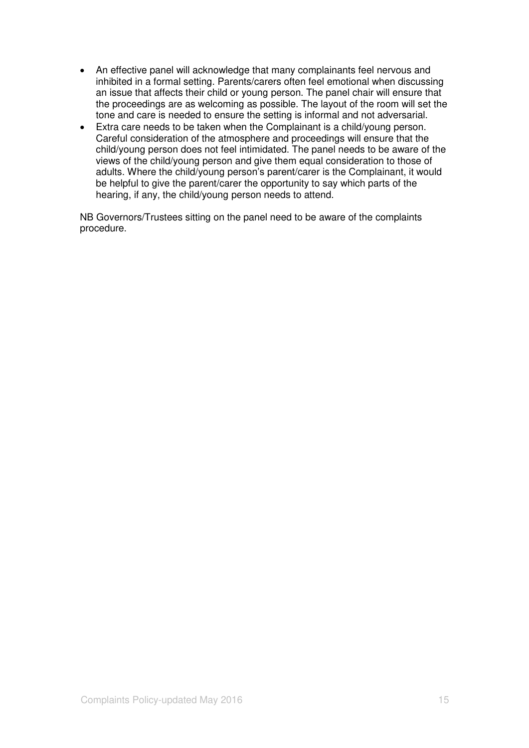- An effective panel will acknowledge that many complainants feel nervous and inhibited in a formal setting. Parents/carers often feel emotional when discussing an issue that affects their child or young person. The panel chair will ensure that the proceedings are as welcoming as possible. The layout of the room will set the tone and care is needed to ensure the setting is informal and not adversarial.
- Extra care needs to be taken when the Complainant is a child/young person. Careful consideration of the atmosphere and proceedings will ensure that the child/young person does not feel intimidated. The panel needs to be aware of the views of the child/young person and give them equal consideration to those of adults. Where the child/young person's parent/carer is the Complainant, it would be helpful to give the parent/carer the opportunity to say which parts of the hearing, if any, the child/young person needs to attend.

NB Governors/Trustees sitting on the panel need to be aware of the complaints procedure.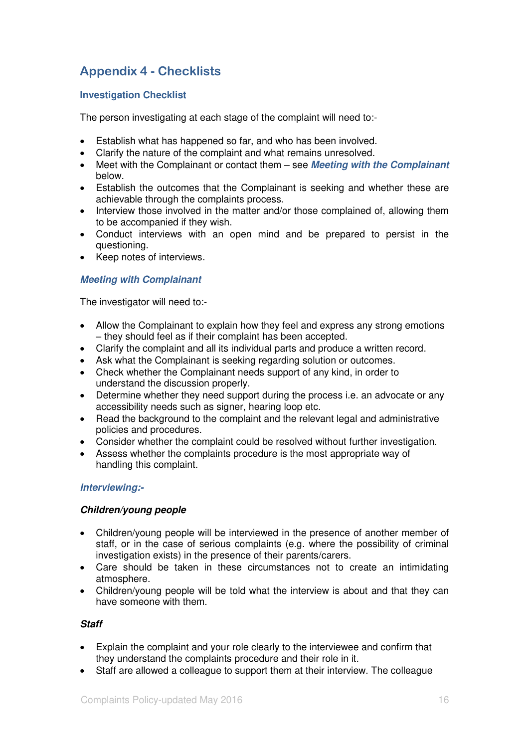# **Appendix 4 - Checklists**

### **Investigation Checklist**

The person investigating at each stage of the complaint will need to:-

- Establish what has happened so far, and who has been involved.
- Clarify the nature of the complaint and what remains unresolved.
- Meet with the Complainant or contact them see *Meeting with the Complainant* below.
- Establish the outcomes that the Complainant is seeking and whether these are achievable through the complaints process.
- Interview those involved in the matter and/or those complained of, allowing them to be accompanied if they wish.
- Conduct interviews with an open mind and be prepared to persist in the questioning.
- Keep notes of interviews.

### *Meeting with Complainant*

The investigator will need to:-

- Allow the Complainant to explain how they feel and express any strong emotions – they should feel as if their complaint has been accepted.
- Clarify the complaint and all its individual parts and produce a written record.
- Ask what the Complainant is seeking regarding solution or outcomes.
- Check whether the Complainant needs support of any kind, in order to understand the discussion properly.
- Determine whether they need support during the process i.e. an advocate or any accessibility needs such as signer, hearing loop etc.
- Read the background to the complaint and the relevant legal and administrative policies and procedures.
- Consider whether the complaint could be resolved without further investigation.
- Assess whether the complaints procedure is the most appropriate way of handling this complaint.

### *Interviewing:-*

### *Children/young people*

- Children/young people will be interviewed in the presence of another member of staff, or in the case of serious complaints (e.g. where the possibility of criminal investigation exists) in the presence of their parents/carers.
- Care should be taken in these circumstances not to create an intimidating atmosphere.
- Children/young people will be told what the interview is about and that they can have someone with them.

### *Staff*

- Explain the complaint and your role clearly to the interviewee and confirm that they understand the complaints procedure and their role in it.
- Staff are allowed a colleague to support them at their interview. The colleague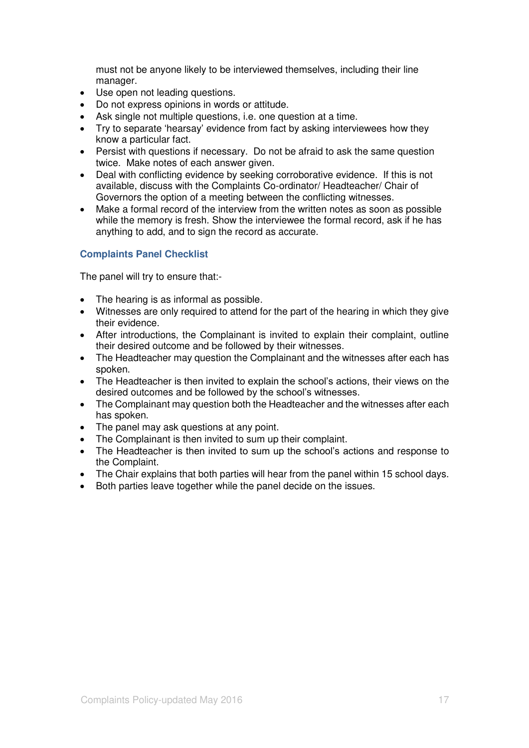must not be anyone likely to be interviewed themselves, including their line manager.

- Use open not leading questions.
- Do not express opinions in words or attitude.
- Ask single not multiple questions, i.e. one question at a time.
- Try to separate 'hearsay' evidence from fact by asking interviewees how they know a particular fact.
- Persist with questions if necessary. Do not be afraid to ask the same question twice. Make notes of each answer given.
- Deal with conflicting evidence by seeking corroborative evidence. If this is not available, discuss with the Complaints Co-ordinator/ Headteacher/ Chair of Governors the option of a meeting between the conflicting witnesses.
- Make a formal record of the interview from the written notes as soon as possible while the memory is fresh. Show the interviewee the formal record, ask if he has anything to add, and to sign the record as accurate.

### **Complaints Panel Checklist**

The panel will try to ensure that:-

- The hearing is as informal as possible.
- Witnesses are only required to attend for the part of the hearing in which they give their evidence.
- After introductions, the Complainant is invited to explain their complaint, outline their desired outcome and be followed by their witnesses.
- The Headteacher may question the Complainant and the witnesses after each has spoken.
- The Headteacher is then invited to explain the school's actions, their views on the desired outcomes and be followed by the school's witnesses.
- The Complainant may question both the Headteacher and the witnesses after each has spoken.
- The panel may ask questions at any point.
- The Complainant is then invited to sum up their complaint.
- The Headteacher is then invited to sum up the school's actions and response to the Complaint.
- The Chair explains that both parties will hear from the panel within 15 school days.
- Both parties leave together while the panel decide on the issues.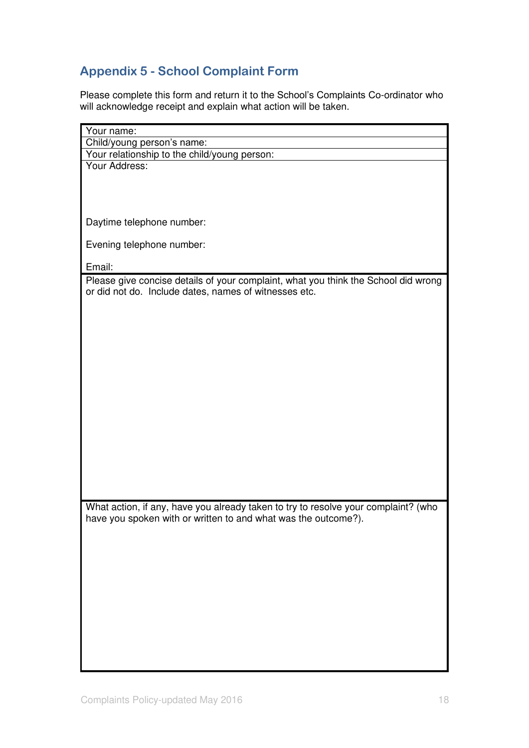# **Appendix 5 - School Complaint Form**

Please complete this form and return it to the School's Complaints Co-ordinator who will acknowledge receipt and explain what action will be taken.

| Your name:                                                                                                                                           |
|------------------------------------------------------------------------------------------------------------------------------------------------------|
| Child/young person's name:                                                                                                                           |
| Your relationship to the child/young person:                                                                                                         |
| Your Address:                                                                                                                                        |
|                                                                                                                                                      |
|                                                                                                                                                      |
|                                                                                                                                                      |
| Daytime telephone number:                                                                                                                            |
| Evening telephone number:                                                                                                                            |
| Email:                                                                                                                                               |
|                                                                                                                                                      |
| Please give concise details of your complaint, what you think the School did wrong<br>or did not do. Include dates, names of witnesses etc.          |
|                                                                                                                                                      |
|                                                                                                                                                      |
|                                                                                                                                                      |
|                                                                                                                                                      |
|                                                                                                                                                      |
|                                                                                                                                                      |
|                                                                                                                                                      |
|                                                                                                                                                      |
|                                                                                                                                                      |
|                                                                                                                                                      |
|                                                                                                                                                      |
|                                                                                                                                                      |
|                                                                                                                                                      |
|                                                                                                                                                      |
|                                                                                                                                                      |
|                                                                                                                                                      |
|                                                                                                                                                      |
| What action, if any, have you already taken to try to resolve your complaint? (who<br>have you spoken with or written to and what was the outcome?). |
|                                                                                                                                                      |
|                                                                                                                                                      |
|                                                                                                                                                      |
|                                                                                                                                                      |
|                                                                                                                                                      |
|                                                                                                                                                      |
|                                                                                                                                                      |
|                                                                                                                                                      |
|                                                                                                                                                      |
|                                                                                                                                                      |
|                                                                                                                                                      |
|                                                                                                                                                      |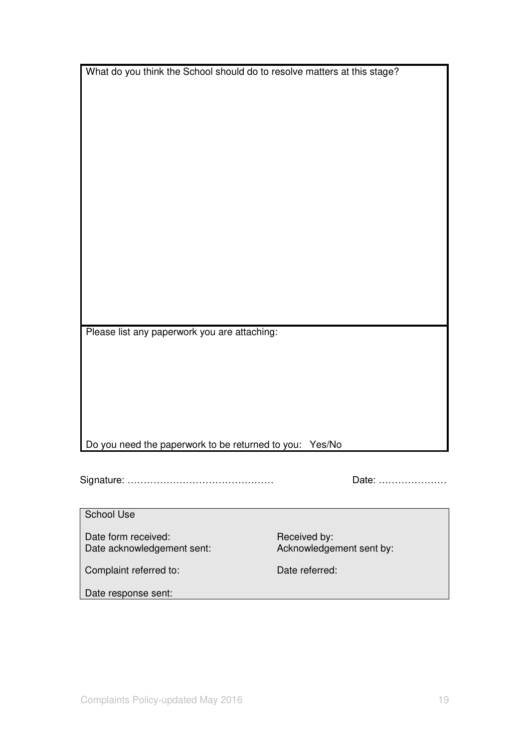|  | What do you think the School should do to resolve matters at this stage? |
|--|--------------------------------------------------------------------------|
|--|--------------------------------------------------------------------------|

Please list any paperwork you are attaching:

Do you need the paperwork to be returned to you: Yes/No

Signature: ……………………………………… Date: …………………

School Use

Date form received:<br>
Date acknowledgement sent:<br>  $\begin{array}{ccc} \text{Received by:} \\ \text{Acknowledgement sent by:} \end{array}$ Date acknowledgement sent:

Complaint referred to: Date referred:

Date response sent: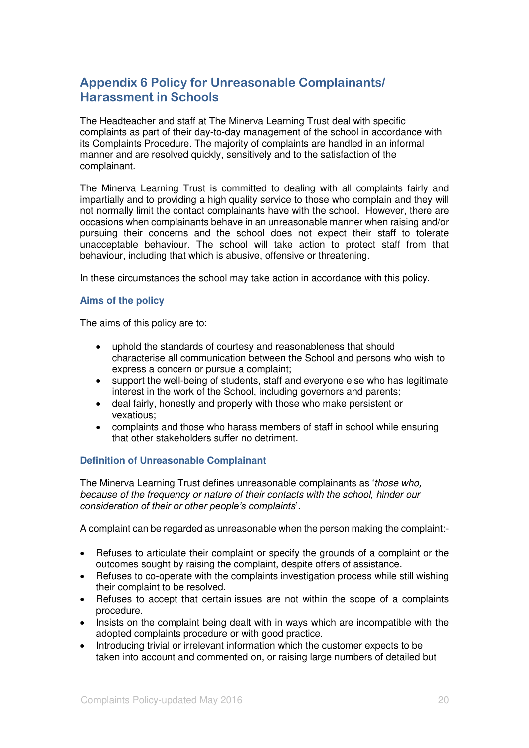# **Appendix 6 Policy for Unreasonable Complainants/ Harassment in Schools**

The Headteacher and staff at The Minerva Learning Trust deal with specific complaints as part of their day-to-day management of the school in accordance with its Complaints Procedure. The majority of complaints are handled in an informal manner and are resolved quickly, sensitively and to the satisfaction of the complainant.

The Minerva Learning Trust is committed to dealing with all complaints fairly and impartially and to providing a high quality service to those who complain and they will not normally limit the contact complainants have with the school. However, there are occasions when complainants behave in an unreasonable manner when raising and/or pursuing their concerns and the school does not expect their staff to tolerate unacceptable behaviour. The school will take action to protect staff from that behaviour, including that which is abusive, offensive or threatening.

In these circumstances the school may take action in accordance with this policy.

#### **Aims of the policy**

The aims of this policy are to:

- uphold the standards of courtesy and reasonableness that should characterise all communication between the School and persons who wish to express a concern or pursue a complaint;
- support the well-being of students, staff and everyone else who has legitimate interest in the work of the School, including governors and parents;
- deal fairly, honestly and properly with those who make persistent or vexatious;
- complaints and those who harass members of staff in school while ensuring that other stakeholders suffer no detriment.

### **Definition of Unreasonable Complainant**

The Minerva Learning Trust defines unreasonable complainants as 'those who, because of the frequency or nature of their contacts with the school, hinder our *consideration of their or other people's complaints*'.

A complaint can be regarded as unreasonable when the person making the complaint:-

- Refuses to articulate their complaint or specify the grounds of a complaint or the outcomes sought by raising the complaint, despite offers of assistance.
- Refuses to co-operate with the complaints investigation process while still wishing their complaint to be resolved.
- Refuses to accept that certain issues are not within the scope of a complaints procedure.
- Insists on the complaint being dealt with in ways which are incompatible with the adopted complaints procedure or with good practice.
- Introducing trivial or irrelevant information which the customer expects to be taken into account and commented on, or raising large numbers of detailed but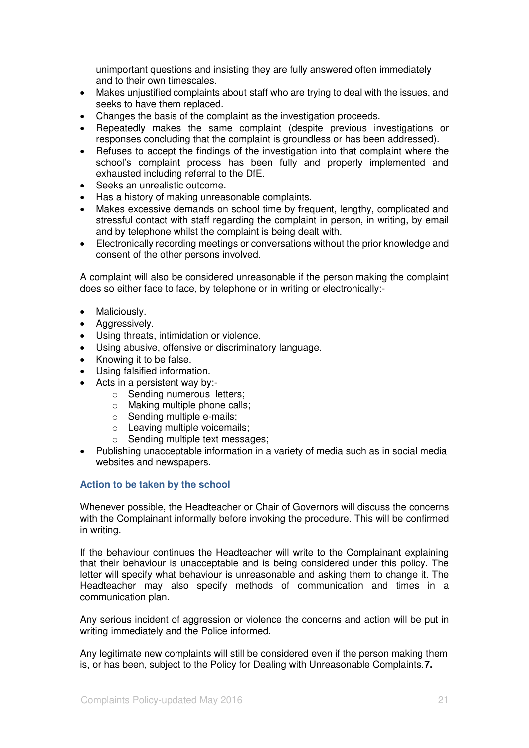unimportant questions and insisting they are fully answered often immediately and to their own timescales.

- Makes unjustified complaints about staff who are trying to deal with the issues, and seeks to have them replaced.
- Changes the basis of the complaint as the investigation proceeds.
- Repeatedly makes the same complaint (despite previous investigations or responses concluding that the complaint is groundless or has been addressed).
- Refuses to accept the findings of the investigation into that complaint where the school's complaint process has been fully and properly implemented and exhausted including referral to the DfE.
- Seeks an unrealistic outcome.
- Has a history of making unreasonable complaints.
- Makes excessive demands on school time by frequent, lengthy, complicated and stressful contact with staff regarding the complaint in person, in writing, by email and by telephone whilst the complaint is being dealt with.
- Electronically recording meetings or conversations without the prior knowledge and consent of the other persons involved.

A complaint will also be considered unreasonable if the person making the complaint does so either face to face, by telephone or in writing or electronically:-

- Maliciously.
- Aggressively.
- Using threats, intimidation or violence.
- Using abusive, offensive or discriminatory language.
- Knowing it to be false.
- Using falsified information.
- Acts in a persistent way by:
	- o Sending numerousletters;
	- o Making multiple phone calls;
	- o Sending multiple e-mails;
	- o Leaving multiple voicemails;
	- o Sending multiple text messages;
- Publishing unacceptable information in a variety of media such as in social media websites and newspapers.

#### **Action to be taken by the school**

Whenever possible, the Headteacher or Chair of Governors will discuss the concerns with the Complainant informally before invoking the procedure. This will be confirmed in writing.

If the behaviour continues the Headteacher will write to the Complainant explaining that their behaviour is unacceptable and is being considered under this policy. The letter will specify what behaviour is unreasonable and asking them to change it. The Headteacher may also specify methods of communication and times in a communication plan.

Any serious incident of aggression or violence the concerns and action will be put in writing immediately and the Police informed.

Any legitimate new complaints will still be considered even if the person making them is, or has been, subject to the Policy for Dealing with Unreasonable Complaints.**7.**